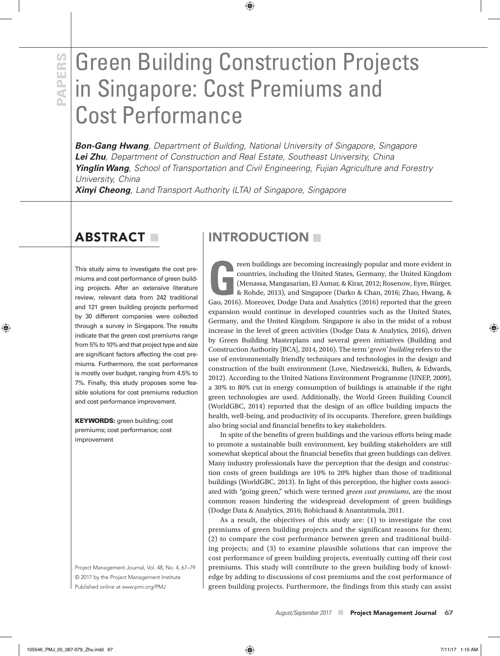# **PAPERS PAPERS**

## Green Building Construction Projects in Singapore: Cost Premiums and Cost Performance

*Bon-Gang Hwang, Department of Building, National University of Singapore, Singapore Lei Zhu, Department of Construction and Real Estate, Southeast University, China Yinglin Wang, School of Transportation and Civil Engineering, Fujian Agriculture and Forestry University, China* 

*Xinyi Cheong, Land Transport Authority (LTA) of Singapore, Singapore* 

This study aims to investigate the cost premiums and cost performance of green building projects. After an extensive literature review, relevant data from 242 traditional and 121 green building projects performed by 30 different companies were collected through a survey in Singapore. The results indicate that the green cost premiums range from 5% to 10% and that project type and size are significant factors affecting the cost premiums. Furthermore, the cost performance is mostly over budget, ranging from 4.5% to 7%. Finally, this study proposes some feasible solutions for cost premiums reduction and cost performance improvement.

KEYWORDS: green building; cost premiums; cost performance; cost improvement

Project Management Journal, Vol. 48, No. 4, 67–79 © 2017 by the Project Management Institute Published online at www.pmi.org/PMJ

## ABSTRACT INTRODUCTION

reen buildings are becoming increasingly popular and more evident in countries, including the United States, Germany, the United Kingdom (Menassa, Mangasarian, El Asmar, & Kirar, 2012; Rosenow, Eyre, Bürger, & Rohde, 2013) reen buildings are becoming increasingly popular and more evident in countries, including the United States, Germany, the United Kingdom (Menassa, Mangasarian, El Asmar, & Kirar, 2012; Rosenow, Eyre, Bürger, & Rohde, 2013), and Singapore (Darko & Chan, 2016; Zhao, Hwang, & expansion would continue in developed countries such as the United States, Germany, and the United Kingdom. Singapore is also in the midst of a robust increase in the level of green activities (Dodge Data & Analytics, 2016), driven by Green Building Masterplans and several green initiatives (Building and Construction Authority [BCA], 2014, 2016). The term '*green' building* refers to the use of environmentally friendly techniques and technologies in the design and construction of the built environment (Love, Niedzweicki, Bullen, & Edwards, 2012). According to the United Nations Environment Programme (UNEP, 2009), a 30% to 80% cut in energy consumption of buildings is attainable if the right green technologies are used. Additionally, the World Green Building Council (WorldGBC, 2014) reported that the design of an office building impacts the health, well-being, and productivity of its occupants. Therefore, green buildings also bring social and financial benefits to key stakeholders.

In spite of the benefits of green buildings and the various efforts being made to promote a sustainable built environment, key building stakeholders are still somewhat skeptical about the financial benefits that green buildings can deliver. Many industry professionals have the perception that the design and construction costs of green buildings are 10% to 20% higher than those of traditional buildings (WorldGBC, 2013). In light of this perception, the higher costs associated with "going green," which were termed *green cost premiums*, are the most common reason hindering the widespread development of green buildings (Dodge Data & Analytics, 2016; Robichaud & Anantatmula, 2011.

As a result, the objectives of this study are: (1) to investigate the cost premiums of green building projects and the significant reasons for them; (2) to compare the cost performance between green and traditional building projects; and (3) to examine plausible solutions that can improve the cost performance of green building projects, eventually cutting off their cost premiums. This study will contribute to the green building body of knowledge by adding to discussions of cost premiums and the cost performance of green building projects. Furthermore, the findings from this study can assist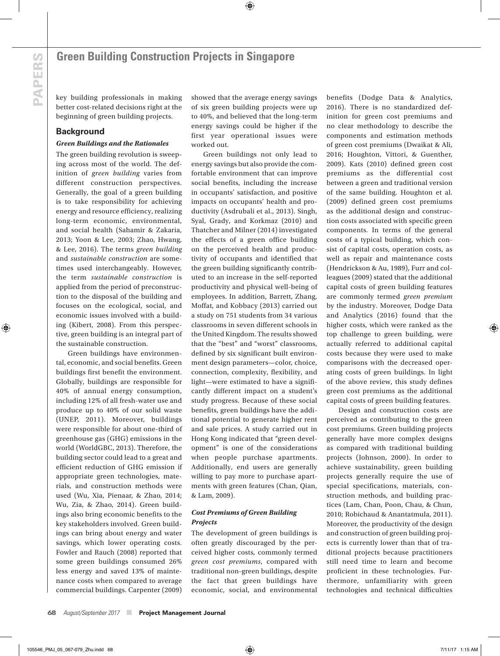key building professionals in making better cost-related decisions right at the beginning of green building projects.

#### **Background**

#### *Green Buildings and the Rationales*

The green building revolution is sweeping across most of the world. The definition of *green building* varies from different construction perspectives. Generally, the goal of a green building is to take responsibility for achieving energy and resource efficiency, realizing long-term economic, environmental, and social health (Sahamir & Zakaria, 2013; Yoon & Lee, 2003; Zhao, Hwang, & Lee, 2016). The terms *green building* and *sustainable construction* are sometimes used interchangeably. However, the term *sustainable construction* is applied from the period of preconstruction to the disposal of the building and focuses on the ecological, social, and economic issues involved with a building (Kibert, 2008). From this perspective, green building is an integral part of the sustainable construction.

Green buildings have environmental, economic, and social benefits. Green buildings first benefit the environment. Globally, buildings are responsible for 40% of annual energy consumption, including 12% of all fresh-water use and produce up to 40% of our solid waste (UNEP, 2011). Moreover, buildings were responsible for about one-third of greenhouse gas (GHG) emissions in the world (WorldGBC, 2013). Therefore, the building sector could lead to a great and efficient reduction of GHG emission if appropriate green technologies, materials, and construction methods were used (Wu, Xia, Pienaar, & Zhao, 2014; Wu, Zia, & Zhao, 2014). Green buildings also bring economic benefits to the key stakeholders involved. Green buildings can bring about energy and water savings, which lower operating costs. Fowler and Rauch (2008) reported that some green buildings consumed 26% less energy and saved 13% of maintenance costs when compared to average commercial buildings. Carpenter (2009)

showed that the average energy savings of six green building projects were up to 40%, and believed that the long-term energy savings could be higher if the first year operational issues were worked out.

Green buildings not only lead to energy savings but also provide the comfortable environment that can improve social benefits, including the increase in occupants' satisfaction, and positive impacts on occupants' health and productivity (Asdrubali et al., 2013). Singh, Syal, Grady, and Korkmaz (2010) and Thatcher and Milner (2014) investigated the effects of a green office building on the perceived health and productivity of occupants and identified that the green building significantly contributed to an increase in the self-reported productivity and physical well-being of employees. In addition, Barrett, Zhang, Moffat, and Kobbacy (2013) carried out a study on 751 students from 34 various classrooms in seven different schools in the United Kingdom. The results showed that the "best" and "worst" classrooms, defined by six significant built environment design parameters—color, choice, connection, complexity, flexibility, and light—were estimated to have a significantly different impact on a student's study progress. Because of these social benefits, green buildings have the additional potential to generate higher rent and sale prices. A study carried out in Hong Kong indicated that "green development" is one of the considerations when people purchase apartments. Additionally, end users are generally willing to pay more to purchase apartments with green features (Chan, Qian, & Lam, 2009).

#### *Cost Premiums of Green Building Projects*

The development of green buildings is often greatly discouraged by the perceived higher costs, commonly termed *green cost premiums*, compared with traditional non-green buildings, despite the fact that green buildings have economic, social, and environmental

benefits (Dodge Data & Analytics, 2016). There is no standardized definition for green cost premiums and no clear methodology to describe the components and estimation methods of green cost premiums (Dwaikat & Ali, 2016; Houghton, Vittori, & Guenther, 2009). Kats (2010) defined green cost premiums as the differential cost between a green and traditional version of the same building. Houghton et al. (2009) defined green cost premiums as the additional design and construction costs associated with specific green components. In terms of the general costs of a typical building, which consist of capital costs, operation costs, as well as repair and maintenance costs (Hendrickson & Au, 1989), Furr and colleagues (2009) stated that the additional capital costs of green building features are commonly termed *green premium* by the industry. Moreover, Dodge Data and Analytics (2016) found that the higher costs, which were ranked as the top challenge to green building, were actually referred to additional capital costs because they were used to make comparisons with the decreased operating costs of green buildings. In light of the above review, this study defines green cost premiums as the additional capital costs of green building features.

Design and construction costs are perceived as contributing to the green cost premiums. Green building projects generally have more complex designs as compared with traditional building projects (Johnson, 2000). In order to achieve sustainability, green building projects generally require the use of special specifications, materials, construction methods, and building practices (Lam, Chan, Poon, Chau, & Chun, 2010; Robichaud & Anantatmula, 2011). Moreover, the productivity of the design and construction of green building projects is currently lower than that of traditional projects because practitioners still need time to learn and become proficient in these technologies. Furthermore, unfamiliarity with green technologies and technical difficulties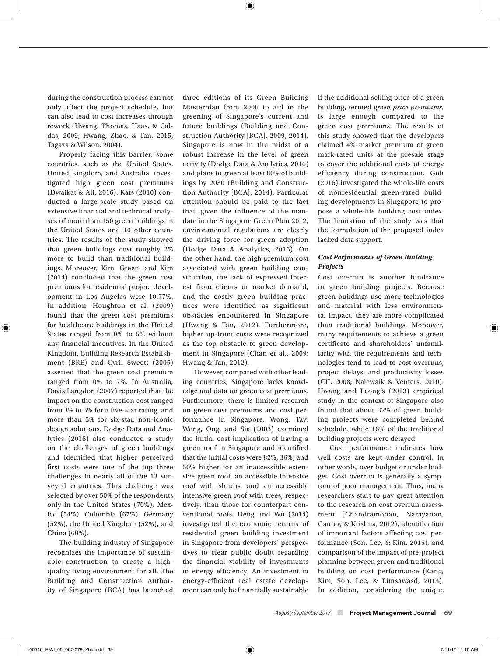during the construction process can not only affect the project schedule, but can also lead to cost increases through rework (Hwang, Thomas, Haas, & Caldas, 2009; Hwang, Zhao, & Tan, 2015; Tagaza & Wilson, 2004).

Properly facing this barrier, some countries, such as the United States, United Kingdom, and Australia, investigated high green cost premiums (Dwaikat & Ali, 2016). Kats (2010) conducted a large-scale study based on extensive financial and technical analyses of more than 150 green buildings in the United States and 10 other countries. The results of the study showed that green buildings cost roughly 2% more to build than traditional buildings. Moreover, Kim, Green, and Kim (2014) concluded that the green cost premiums for residential project development in Los Angeles were 10.77%. In addition, Houghton et al. (2009) found that the green cost premiums for healthcare buildings in the United States ranged from 0% to 5% without any financial incentives. In the United Kingdom, Building Research Establishment (BRE) and Cyril Sweett (2005) asserted that the green cost premium ranged from 0% to 7%. In Australia, Davis Langdon (2007) reported that the impact on the construction cost ranged from 3% to 5% for a five-star rating, and more than 5% for six-star, non-iconic design solutions. Dodge Data and Analytics (2016) also conducted a study on the challenges of green buildings and identified that higher perceived first costs were one of the top three challenges in nearly all of the 13 surveyed countries. This challenge was selected by over 50% of the respondents only in the United States (70%), Mexico (54%), Colombia (67%), Germany (52%), the United Kingdom (52%), and China (60%).

The building industry of Singapore recognizes the importance of sustainable construction to create a highquality living environment for all. The Building and Construction Authority of Singapore (BCA) has launched three editions of its Green Building Masterplan from 2006 to aid in the greening of Singapore's current and future buildings (Building and Construction Authority [BCA], 2009, 2014). Singapore is now in the midst of a robust increase in the level of green activity (Dodge Data & Analytics, 2016) and plans to green at least 80% of buildings by 2030 (Building and Construction Authority [BCA], 2014). Particular attention should be paid to the fact that, given the influence of the mandate in the Singapore Green Plan 2012, environmental regulations are clearly the driving force for green adoption (Dodge Data & Analytics, 2016). On the other hand, the high premium cost associated with green building construction, the lack of expressed interest from clients or market demand, and the costly green building practices were identified as significant obstacles encountered in Singapore (Hwang & Tan, 2012). Furthermore, higher up-front costs were recognized as the top obstacle to green development in Singapore (Chan et al., 2009; Hwang & Tan, 2012).

However, compared with other leading countries, Singapore lacks knowledge and data on green cost premiums. Furthermore, there is limited research on green cost premiums and cost performance in Singapore. Wong, Tay, Wong, Ong, and Sia (2003) examined the initial cost implication of having a green roof in Singapore and identified that the initial costs were 82%, 36%, and 50% higher for an inaccessible extensive green roof, an accessible intensive roof with shrubs, and an accessible intensive green roof with trees, respectively, than those for counterpart conventional roofs. Deng and Wu (2014) investigated the economic returns of residential green building investment in Singapore from developers' perspectives to clear public doubt regarding the financial viability of investments in energy efficiency. An investment in energy-efficient real estate development can only be financially sustainable

if the additional selling price of a green building, termed *green price premiums*, is large enough compared to the green cost premiums. The results of this study showed that the developers claimed 4% market premium of green mark-rated units at the presale stage to cover the additional costs of energy efficiency during construction. Goh (2016) investigated the whole-life costs of nonresidential green-rated building developments in Singapore to propose a whole-life building cost index. The limitation of the study was that the formulation of the proposed index lacked data support.

#### *Cost Performance of Green Building Projects*

Cost overrun is another hindrance in green building projects. Because green buildings use more technologies and material with less environmental impact, they are more complicated than traditional buildings. Moreover, many requirements to achieve a green certificate and shareholders' unfamiliarity with the requirements and technologies tend to lead to cost overruns, project delays, and productivity losses (CII, 2008; Nalewaik & Venters, 2010). Hwang and Leong's (2013) empirical study in the context of Singapore also found that about 32% of green building projects were completed behind schedule, while 16% of the traditional building projects were delayed.

Cost performance indicates how well costs are kept under control, in other words, over budget or under budget. Cost overrun is generally a symptom of poor management. Thus, many researchers start to pay great attention to the research on cost overrun assessment (Chandramohan, Narayanan, Gaurav, & Krishna, 2012), identification of important factors affecting cost performance (Son, Lee, & Kim, 2015), and comparison of the impact of pre-project planning between green and traditional building on cost performance (Kang, Kim, Son, Lee, & Limsawasd, 2013). In addition, considering the unique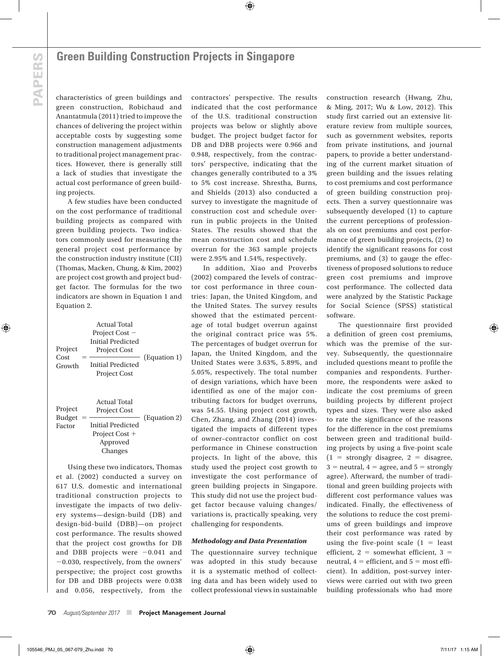characteristics of green buildings and green construction, Robichaud and Anantatmula (2011) tried to improve the chances of delivering the project within acceptable costs by suggesting some construction management adjustments to traditional project management practices. However, there is generally still a lack of studies that investigate the actual cost performance of green building projects.

A few studies have been conducted on the cost performance of traditional building projects as compared with green building projects. Two indicators commonly used for measuring the general project cost performance by the construction industry institute (CII) (Thomas, Macken, Chung, & Kim, 2002) are project cost growth and project budget factor. The formulas for the two indicators are shown in Equation 1 and Equation 2.

| Project<br>Cost<br>Growth          | Actual Total<br>Project Cost –<br>Initial Predicted<br><b>Project Cost</b><br>Initial Predicted<br><b>Project Cost</b> | (Equation 1) |
|------------------------------------|------------------------------------------------------------------------------------------------------------------------|--------------|
| Project<br><b>Budget</b><br>Factor | Actual Total<br><b>Project Cost</b><br><b>Initial Predicted</b><br>Project Cost +<br>Approved<br>Changes               | (Equation 2) |

Using these two indicators, Thomas et al. (2002) conducted a survey on 617 U.S. domestic and international traditional construction projects to investigate the impacts of two delivery systems—design-build (DB) and design-bid-build (DBB)—on project cost performance. The results showed that the project cost growths for DB and DBB projects were  $-0.041$  and  $-0.030$ , respectively, from the owners' perspective; the project cost growths for DB and DBB projects were 0.038 and 0.056, respectively, from the contractors' perspective. The results indicated that the cost performance of the U.S. traditional construction projects was below or slightly above budget. The project budget factor for DB and DBB projects were 0.966 and 0.948, respectively, from the contractors' perspective, indicating that the changes generally contributed to a 3% to 5% cost increase. Shrestha, Burns, and Shields (2013) also conducted a survey to investigate the magnitude of construction cost and schedule overrun in public projects in the United States. The results showed that the mean construction cost and schedule overrun for the 363 sample projects were 2.95% and 1.54%, respectively.

In addition, Xiao and Proverbs (2002) compared the levels of contractor cost performance in three countries: Japan, the United Kingdom, and the United States. The survey results showed that the estimated percentage of total budget overrun against the original contract price was 5%. The percentages of budget overrun for Japan, the United Kingdom, and the United States were 3.63%, 5.89%, and 5.05%, respectively. The total number of design variations, which have been identified as one of the major contributing factors for budget overruns, was 54.55. Using project cost growth, Chen, Zhang, and Zhang (2014) investigated the impacts of different types of owner–contractor conflict on cost performance in Chinese construction projects. In light of the above, this study used the project cost growth to investigate the cost performance of green building projects in Singapore. This study did not use the project budget factor because valuing changes/ variations is, practically speaking, very challenging for respondents.

#### *Methodology and Data Presentation*

The questionnaire survey technique was adopted in this study because it is a systematic method of collecting data and has been widely used to collect professional views in sustainable

construction research (Hwang, Zhu, & Ming, 2017; Wu & Low, 2012). This study first carried out an extensive literature review from multiple sources, such as government websites, reports from private institutions, and journal papers, to provide a better understanding of the current market situation of green building and the issues relating to cost premiums and cost performance of green building construction projects. Then a survey questionnaire was subsequently developed (1) to capture the current perceptions of professionals on cost premiums and cost performance of green building projects, (2) to identify the significant reasons for cost premiums, and (3) to gauge the effectiveness of proposed solutions to reduce green cost premiums and improve cost performance. The collected data were analyzed by the Statistic Package for Social Science (SPSS) statistical software.

The questionnaire first provided a definition of green cost premiums, which was the premise of the survey. Subsequently, the questionnaire included questions meant to profile the companies and respondents. Furthermore, the respondents were asked to indicate the cost premiums of green building projects by different project types and sizes. They were also asked to rate the significance of the reasons for the difference in the cost premiums between green and traditional building projects by using a five-point scale  $(1 =$  strongly disagree,  $2 =$  disagree,  $3$  = neutral,  $4$  = agree, and  $5$  = strongly agree). Afterward, the number of traditional and green building projects with different cost performance values was indicated. Finally, the effectiveness of the solutions to reduce the cost premiums of green buildings and improve their cost performance was rated by using the five-point scale  $(1 =$  least efficient,  $2 =$  somewhat efficient,  $3 =$ neutral,  $4 =$  efficient, and  $5 =$  most efficient). In addition, post-survey interviews were carried out with two green building professionals who had more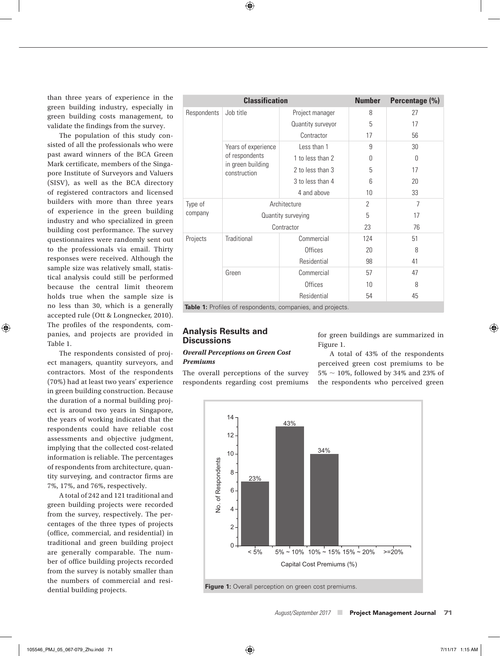than three years of experience in the green building industry, especially in green building costs management, to validate the findings from the survey.

The population of this study consisted of all the professionals who were past award winners of the BCA Green Mark certificate, members of the Singapore Institute of Surveyors and Valuers (SISV), as well as the BCA directory of registered contractors and licensed builders with more than three years of experience in the green building industry and who specialized in green building cost performance. The survey questionnaires were randomly sent out to the professionals via email. Thirty responses were received. Although the sample size was relatively small, statistical analysis could still be performed because the central limit theorem holds true when the sample size is no less than 30, which is a generally accepted rule (Ott & Longnecker, 2010). The profiles of the respondents, companies, and projects are provided in Table 1.

The respondents consisted of project managers, quantity surveyors, and contractors. Most of the respondents (70%) had at least two years' experience in green building construction. Because the duration of a normal building project is around two years in Singapore, the years of working indicated that the respondents could have reliable cost assessments and objective judgment, implying that the collected cost-related information is reliable. The percentages of respondents from architecture, quantity surveying, and contractor firms are 7%, 17%, and 76%, respectively.

A total of 242 and 121 traditional and green building projects were recorded from the survey, respectively. The percentages of the three types of projects (office, commercial, and residential) in traditional and green building project are generally comparable. The number of office building projects recorded from the survey is notably smaller than the numbers of commercial and residential building projects.

|             | <b>Classification</b>             |                    | <b>Number</b>  | Percentage (%) |
|-------------|-----------------------------------|--------------------|----------------|----------------|
| Respondents | Job title                         | Project manager    | 8              | 27             |
|             |                                   | Quantity surveyor  | 5              | 17             |
|             |                                   | Contractor         | 17             | 56             |
|             | Years of experience               | Less than 1        | 9              | 30             |
|             | of respondents                    | 1 to less than 2   | U              | $\bigcap$      |
|             | in green building<br>construction | 2 to less than 3   | 5              | 17             |
|             |                                   | 3 to less than 4   | 6              | 20             |
|             |                                   | 4 and above        | 10             | 33             |
| Type of     |                                   | Architecture       | $\overline{2}$ | $\overline{7}$ |
| company     |                                   | Quantity surveying | 5              | 17             |
|             |                                   | Contractor         | 23             | 76             |
| Projects    | <b>Traditional</b>                | Commercial         | 124            | 51             |
|             |                                   | <b>Offices</b>     | 20             | 8              |
|             |                                   | Residential        | 98             | 41             |
|             | Green                             | Commercial         | 57             | 47             |
|             |                                   | Offices            | 10             | 8              |
|             |                                   | Residential        | 54             | 45             |

**Table 1:** Profiles of respondents, companies, and projects.

### **Analysis Results and Discussions** *Overall Perceptions on Green Cost*

#### *Premiums*

The overall perceptions of the survey respondents regarding cost premiums for green buildings are summarized in Figure 1.

A total of 43% of the respondents perceived green cost premiums to be  $5\% \sim 10\%$ , followed by 34% and 23% of the respondents who perceived green

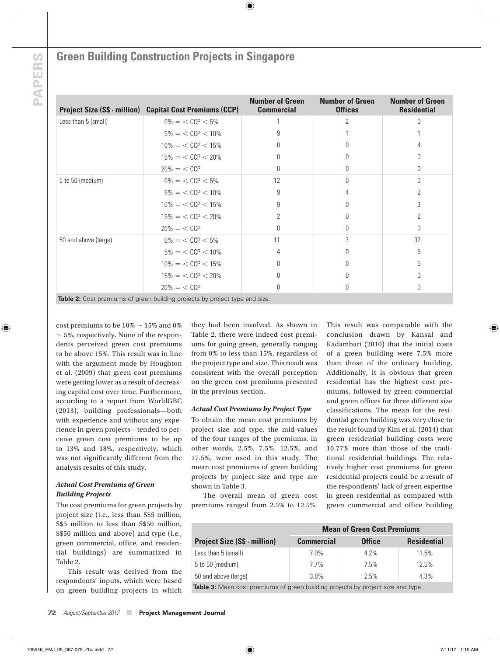## **Green Building Construction Projects in Singapore**

|                      | <b>Project Size (S\$ · million) Capital Cost Premiums (CCP)</b>             | <b>Number of Green</b><br><b>Commercial</b> | <b>Number of Green</b><br><b>Offices</b> | <b>Number of Green</b><br><b>Residential</b> |
|----------------------|-----------------------------------------------------------------------------|---------------------------------------------|------------------------------------------|----------------------------------------------|
| Less than 5 (small)  | $0\% = \langle$ CCP $\langle 5\% \rangle$                                   |                                             | 2                                        | U                                            |
|                      | $5\% = \langle$ CCP $\leq$ 10%                                              | 9                                           |                                          |                                              |
|                      | $10\% = \langle$ CCP $\langle$ 15%                                          | O                                           |                                          |                                              |
|                      | $15\% = \langle$ CCP $\langle$ 20%                                          |                                             |                                          | Ŋ                                            |
|                      | $20\% = \langle CCP \rangle$                                                |                                             |                                          | Ŋ                                            |
| 5 to 50 (medium)     | $0\% = \langle$ CCP $\langle 5\%$                                           | 12                                          |                                          | $\Omega$                                     |
|                      | $5\% = \langle$ CCP $\langle$ 10%                                           | 9                                           |                                          | 2                                            |
|                      | $10\% = \langle$ CCP $\langle$ 15%                                          | 9                                           |                                          | 3                                            |
|                      | $15\% = \langle$ CCP $\langle$ 20%                                          | $\overline{2}$                              |                                          | 2                                            |
|                      | $20\% = \langle CCP \rangle$                                                | n                                           | n                                        | <sup>0</sup>                                 |
| 50 and above (large) | $0\% = \langle$ CCP $\langle 5\%$                                           | 11                                          | 3                                        | 32                                           |
|                      | $5\% = \langle$ CCP $\leq$ 10%                                              |                                             |                                          | 5                                            |
|                      | $10\% = \langle$ CCP $\langle$ 15%                                          |                                             |                                          | 5                                            |
|                      | $15\% = \langle$ CCP $\langle$ 20%                                          | N                                           |                                          | Ŋ                                            |
|                      | $20\% = \langle CCP \rangle$                                                | U                                           |                                          | 0                                            |
|                      | Table 2: Cost premiums of green building projects by project type and size. |                                             |                                          |                                              |

cost premiums to be  $10\% \sim 15\%$  and 0%  $\sim$  5%, respectively. None of the respondents perceived green cost premiums to be above 15%. This result was in line with the argument made by Houghton et al. (2009) that green cost premiums were getting lower as a result of decreasing capital cost over time. Furthermore, according to a report from WorldGBC (2013), building professionals—both with experience and without any experience in green projects—tended to perceive green cost premiums to be up to 13% and 18%, respectively, which was not significantly different from the analysis results of this study.

#### *Actual Cost Premiums of Green Building Projects*

The cost premiums for green projects by project size (i.e., less than S\$5 million, S\$5 million to less than S\$50 million, S\$50 million and above) and type (i.e., green commercial, office, and residential buildings) are summarized in Table 2.

This result was derived from the respondents' inputs, which were based on green building projects in which they had been involved. As shown in Table 2, there were indeed cost premiums for going green, generally ranging from 0% to less than 15%, regardless of the project type and size. This result was consistent with the overall perception on the green cost premiums presented in the previous section.

#### *Actual Cost Premiums by Project Type*

To obtain the mean cost premiums by project size and type, the mid-values of the four ranges of the premiums, in other words, 2.5%, 7.5%, 12.5%, and 17.5%, were used in this study. The mean cost premiums of green building projects by project size and type are shown in Table 3.

The overall mean of green cost premiums ranged from 2.5% to 12.5%. This result was comparable with the conclusion drawn by Kansal and Kadambari (2010) that the initial costs of a green building were 7.5% more than those of the ordinary building. Additionally, it is obvious that green residential has the highest cost premiums, followed by green commercial and green offices for three different size classifications. The mean for the residential green building was very close to the result found by Kim et al. (2014) that green residential building costs were 10.77% more than those of the traditional residential buildings. The relatively higher cost premiums for green residential projects could be a result of the respondents' lack of green expertise in green residential as compared with green commercial and office building

|                                     | <b>Mean of Green Cost Premiums</b> |               |                    |  |  |
|-------------------------------------|------------------------------------|---------------|--------------------|--|--|
| <b>Project Size (S\$ - million)</b> | <b>Commercial</b>                  | <b>Office</b> | <b>Residential</b> |  |  |
| Less than 5 (small)                 | 7.0%                               | $4.2\%$       | 11.5%              |  |  |
| 5 to 50 (medium)                    | 7.7%                               | 7.5%          | 12.5%              |  |  |
| 50 and above (large)                | 3.8%                               | 2.5%          | 4.3%               |  |  |

**Table 3:** Mean cost premiums of green building projects by project size and type.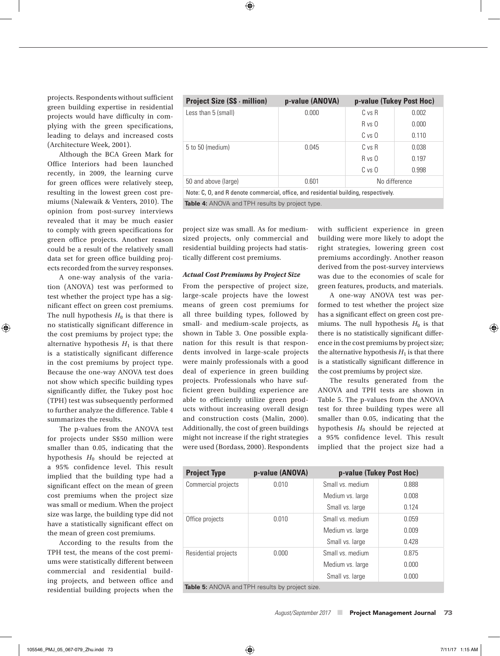projects. Respondents without sufficient green building expertise in residential projects would have difficulty in complying with the green specifications, leading to delays and increased costs (Architecture Week, 2001).

Although the BCA Green Mark for Office Interiors had been launched recently, in 2009, the learning curve for green offices were relatively steep, resulting in the lowest green cost premiums (Nalewaik & Venters, 2010). The opinion from post-survey interviews revealed that it may be much easier to comply with green specifications for green office projects. Another reason could be a result of the relatively small data set for green office building projects recorded from the survey responses.

A one-way analysis of the variation (ANOVA) test was performed to test whether the project type has a significant effect on green cost premiums. The null hypothesis  $H_0$  is that there is no statistically significant difference in the cost premiums by project type; the alternative hypothesis  $H_1$  is that there is a statistically significant difference in the cost premiums by project type. Because the one-way ANOVA test does not show which specific building types significantly differ, the Tukey post hoc (TPH) test was subsequently performed to further analyze the difference. Table 4 summarizes the results.

The p-values from the ANOVA test for projects under S\$50 million were smaller than 0.05, indicating that the hypothesis *H*0 should be rejected at a 95% confidence level. This result implied that the building type had a significant effect on the mean of green cost premiums when the project size was small or medium. When the project size was large, the building type did not have a statistically significant effect on the mean of green cost premiums.

According to the results from the TPH test, the means of the cost premiums were statistically different between commercial and residential building projects, and between office and residential building projects when the

| <b>Project Size (S\$ · million)</b>                                                  | p-value (ANOVA) | p-value (Tukey Post Hoc) |       |  |  |  |
|--------------------------------------------------------------------------------------|-----------------|--------------------------|-------|--|--|--|
| Less than 5 (small)                                                                  | 0.000           | $C$ vs $R$               | 0.002 |  |  |  |
|                                                                                      |                 | R vs 0                   | 0.000 |  |  |  |
|                                                                                      |                 | C vs O                   | 0.110 |  |  |  |
| 5 to 50 (medium)                                                                     | 0.045           | $C$ vs $R$               | 0.038 |  |  |  |
|                                                                                      |                 | R vs. 0                  | 0.197 |  |  |  |
|                                                                                      |                 | C vs O                   | 0.998 |  |  |  |
| 50 and above (large)                                                                 | 0.601           | No difference            |       |  |  |  |
| Note: C, O, and R denote commercial, office, and residential building, respectively. |                 |                          |       |  |  |  |
|                                                                                      |                 |                          |       |  |  |  |

**Table 4:** ANOVA and TPH results by project type.

project size was small. As for mediumsized projects, only commercial and residential building projects had statistically different cost premiums.

#### *Actual Cost Premiums by Project Size*

From the perspective of project size, large-scale projects have the lowest means of green cost premiums for all three building types, followed by small- and medium-scale projects, as shown in Table 3. One possible explanation for this result is that respondents involved in large-scale projects were mainly professionals with a good deal of experience in green building projects. Professionals who have sufficient green building experience are able to efficiently utilize green products without increasing overall design and construction costs (Malin, 2000). Additionally, the cost of green buildings might not increase if the right strategies were used (Bordass, 2000). Respondents

with sufficient experience in green building were more likely to adopt the right strategies, lowering green cost premiums accordingly. Another reason derived from the post-survey interviews was due to the economies of scale for green features, products, and materials.

A one-way ANOVA test was performed to test whether the project size has a significant effect on green cost premiums. The null hypothesis  $H_0$  is that there is no statistically significant difference in the cost premiums by project size; the alternative hypothesis  $H_1$  is that there is a statistically significant difference in the cost premiums by project size.

The results generated from the ANOVA and TPH tests are shown in Table 5. The p-values from the ANOVA test for three building types were all smaller than 0.05, indicating that the hypothesis *H*0 should be rejected at a 95% confidence level. This result implied that the project size had a

| <b>Project Type</b>                             | p-value (ANOVA) | p-value (Tukey Post Hoc) |       |  |  |  |  |
|-------------------------------------------------|-----------------|--------------------------|-------|--|--|--|--|
| Commercial projects                             | 0.010           | Small vs. medium         | 0.888 |  |  |  |  |
|                                                 |                 | Medium vs. large         | 0.008 |  |  |  |  |
|                                                 |                 | Small vs. large          | 0.124 |  |  |  |  |
| Office projects                                 | 0.010           | Small vs. medium         | 0.059 |  |  |  |  |
|                                                 |                 | Medium vs. large         | 0.009 |  |  |  |  |
|                                                 |                 | Small vs. large          | 0.428 |  |  |  |  |
| Residential projects                            | 0.000           | Small vs. medium         | 0.875 |  |  |  |  |
|                                                 |                 | Medium vs. large         | 0.000 |  |  |  |  |
|                                                 |                 | Small vs. large          | 0.000 |  |  |  |  |
| Table 5: ANOVA and TPH results by project size. |                 |                          |       |  |  |  |  |

*August/September 2017* ■ Project Management Journal73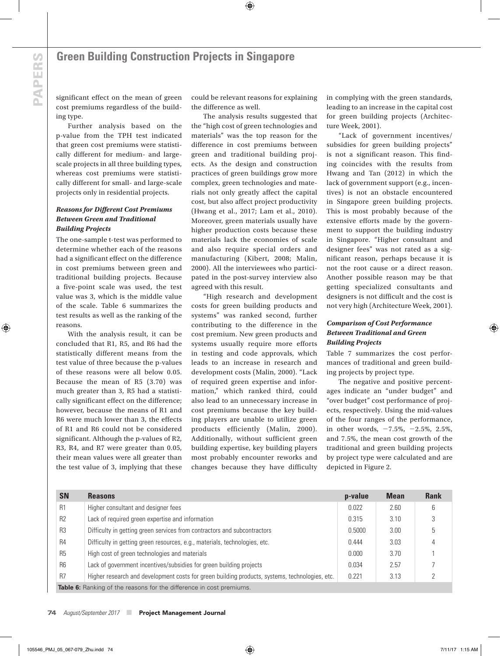significant effect on the mean of green cost premiums regardless of the building type.

Further analysis based on the p-value from the TPH test indicated that green cost premiums were statistically different for medium- and largescale projects in all three building types, whereas cost premiums were statistically different for small- and large-scale projects only in residential projects.

#### *Reasons for Different Cost Premiums Between Green and Traditional Building Projects*

The one-sample t-test was performed to determine whether each of the reasons had a significant effect on the difference in cost premiums between green and traditional building projects. Because a five-point scale was used, the test value was 3, which is the middle value of the scale. Table 6 summarizes the test results as well as the ranking of the reasons.

With the analysis result, it can be concluded that R1, R5, and R6 had the statistically different means from the test value of three because the p-values of these reasons were all below 0.05. Because the mean of R5 (3.70) was much greater than 3, R5 had a statistically significant effect on the difference; however, because the means of R1 and R6 were much lower than 3, the effects of R1 and R6 could not be considered significant. Although the p-values of R2, R3, R4, and R7 were greater than 0.05, their mean values were all greater than the test value of 3, implying that these

could be relevant reasons for explaining the difference as well.

The analysis results suggested that the "high cost of green technologies and materials" was the top reason for the difference in cost premiums between green and traditional building projects. As the design and construction practices of green buildings grow more complex, green technologies and materials not only greatly affect the capital cost, but also affect project productivity (Hwang et al., 2017; Lam et al., 2010). Moreover, green materials usually have higher production costs because these materials lack the economies of scale and also require special orders and manufacturing (Kibert, 2008; Malin, 2000). All the interviewees who participated in the post-survey interview also agreed with this result.

"High research and development costs for green building products and systems" was ranked second, further contributing to the difference in the cost premium. New green products and systems usually require more efforts in testing and code approvals, which leads to an increase in research and development costs (Malin, 2000). "Lack of required green expertise and information," which ranked third, could also lead to an unnecessary increase in cost premiums because the key building players are unable to utilize green products efficiently (Malin, 2000). Additionally, without sufficient green building expertise, key building players most probably encounter reworks and changes because they have difficulty

in complying with the green standards, leading to an increase in the capital cost for green building projects (Architecture Week, 2001).

"Lack of government incentives/ subsidies for green building projects" is not a significant reason. This finding coincides with the results from Hwang and Tan (2012) in which the lack of government support (e.g., incentives) is not an obstacle encountered in Singapore green building projects. This is most probably because of the extensive efforts made by the government to support the building industry in Singapore. "Higher consultant and designer fees" was not rated as a significant reason, perhaps because it is not the root cause or a direct reason. Another possible reason may be that getting specialized consultants and designers is not difficult and the cost is not very high (Architecture Week, 2001).

#### *Comparison of Cost Performance Between Traditional and Green Building Projects*

Table 7 summarizes the cost performances of traditional and green building projects by project type.

The negative and positive percentages indicate an "under budget" and "over budget" cost performance of projects, respectively. Using the mid-values of the four ranges of the performance, in other words,  $-7.5\%$ ,  $-2.5\%$ ,  $2.5\%$ , and 7.5%, the mean cost growth of the traditional and green building projects by project type were calculated and are depicted in Figure 2.

| <b>SN</b>      | <b>Reasons</b>                                                                                 | p-value | <b>Mean</b> | <b>Rank</b> |
|----------------|------------------------------------------------------------------------------------------------|---------|-------------|-------------|
| R <sub>1</sub> | Higher consultant and designer fees                                                            | 0.022   | 2.60        | 6           |
| R <sub>2</sub> | Lack of required green expertise and information                                               | 0.315   | 3.10        | 3           |
| R <sub>3</sub> | Difficulty in getting green services from contractors and subcontractors                       | 0.5000  | 3.00        | 5           |
| R <sub>4</sub> | Difficulty in getting green resources, e.g., materials, technologies, etc.                     | 0.444   | 3.03        | 4           |
| R <sub>5</sub> | High cost of green technologies and materials                                                  | 0.000   | 3.70        |             |
| <b>R6</b>      | Lack of government incentives/subsidies for green building projects                            | 0.034   | 2.57        |             |
| R <sub>7</sub> | Higher research and development costs for green building products, systems, technologies, etc. | 0.221   | 3.13        |             |
|                | <b>Table 6:</b> Ranking of the reasons for the difference in cost premiums.                    |         |             |             |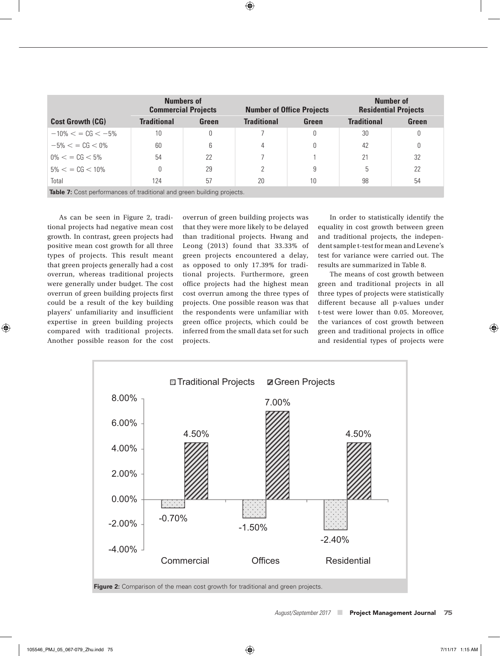|                                                                               |                    | <b>Numbers of</b><br><b>Commercial Projects</b> | <b>Number of Office Projects</b> |       | Number of<br><b>Residential Projects</b> |       |  |
|-------------------------------------------------------------------------------|--------------------|-------------------------------------------------|----------------------------------|-------|------------------------------------------|-------|--|
| <b>Cost Growth (CG)</b>                                                       | <b>Traditional</b> | Green                                           | <b>Traditional</b>               | Green | <b>Traditional</b>                       | Green |  |
| $-10\% <$ = CG $<$ -5%                                                        | 10                 | 0                                               |                                  | 0     | 30                                       | 0     |  |
| $-5\% <$ = CG $<$ 0%                                                          | 60                 | 6                                               | 4                                | 0     | 42                                       | 0     |  |
| $0\% < \; = \; CG < 5\%$                                                      | 54                 | 22                                              |                                  |       | 21                                       | 32    |  |
| $5\% < \frac{\cdot}{6} < 10\%$                                                |                    | 29                                              | 2                                | 9     | 5                                        | 22    |  |
| Total                                                                         | 124                | 57                                              | 20                               | 10    | 98                                       | 54    |  |
| <b>Table 7:</b> Cost performances of traditional and green building projects. |                    |                                                 |                                  |       |                                          |       |  |

As can be seen in Figure 2, traditional projects had negative mean cost growth. In contrast, green projects had positive mean cost growth for all three types of projects. This result meant that green projects generally had a cost overrun, whereas traditional projects were generally under budget. The cost overrun of green building projects first could be a result of the key building players' unfamiliarity and insufficient expertise in green building projects compared with traditional projects. Another possible reason for the cost

overrun of green building projects was that they were more likely to be delayed than traditional projects. Hwang and Leong (2013) found that 33.33% of green projects encountered a delay, as opposed to only 17.39% for traditional projects. Furthermore, green office projects had the highest mean cost overrun among the three types of projects. One possible reason was that the respondents were unfamiliar with green office projects, which could be inferred from the small data set for such projects.

In order to statistically identify the equality in cost growth between green and traditional projects, the independent sample t-test for mean and Levene's test for variance were carried out. The results are summarized in Table 8.

The means of cost growth between green and traditional projects in all three types of projects were statistically different because all p-values under t-test were lower than 0.05. Moreover, the variances of cost growth between green and traditional projects in office and residential types of projects were



**Figure 2:** Comparison of the mean cost growth for traditional and green projects.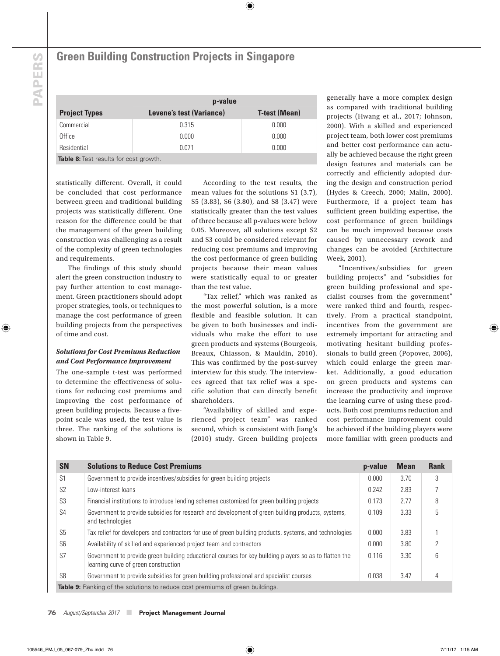### **Green Building Construction Projects in Singapore**

|                                               | p-value                  |                      |  |  |  |
|-----------------------------------------------|--------------------------|----------------------|--|--|--|
| <b>Project Types</b>                          | Levene's test (Variance) | <b>T-test (Mean)</b> |  |  |  |
| Commercial                                    | 0.315                    | 0.000                |  |  |  |
| Office                                        | 0.000                    | 0.000                |  |  |  |
| Residential                                   | 0.071                    | 0.000                |  |  |  |
| <b>Table 8:</b> Test results for cost growth. |                          |                      |  |  |  |

statistically different. Overall, it could be concluded that cost performance between green and traditional building projects was statistically different. One reason for the difference could be that the management of the green building construction was challenging as a result of the complexity of green technologies and requirements.

The findings of this study should alert the green construction industry to pay further attention to cost management. Green practitioners should adopt proper strategies, tools, or techniques to manage the cost performance of green building projects from the perspectives of time and cost.

#### *Solutions for Cost Premiums Reduction and Cost Performance Improvement*

The one-sample t-test was performed to determine the effectiveness of solutions for reducing cost premiums and improving the cost performance of green building projects. Because a fivepoint scale was used, the test value is three. The ranking of the solutions is shown in Table 9.

According to the test results, the mean values for the solutions S1 (3.7), S5 (3.83), S6 (3.80), and S8 (3.47) were statistically greater than the test values of three because all p-values were below 0.05. Moreover, all solutions except S2 and S3 could be considered relevant for reducing cost premiums and improving the cost performance of green building projects because their mean values were statistically equal to or greater than the test value.

"Tax relief," which was ranked as the most powerful solution, is a more flexible and feasible solution. It can be given to both businesses and individuals who make the effort to use green products and systems (Bourgeois, Breaux, Chiasson, & Mauldin, 2010). This was confirmed by the post-survey interview for this study. The interviewees agreed that tax relief was a specific solution that can directly benefit shareholders.

"Availability of skilled and experienced project team" was ranked second, which is consistent with Jiang's (2010) study. Green building projects generally have a more complex design as compared with traditional building projects (Hwang et al., 2017; Johnson, 2000). With a skilled and experienced project team, both lower cost premiums and better cost performance can actually be achieved because the right green design features and materials can be correctly and efficiently adopted during the design and construction period (Hydes & Creech, 2000; Malin, 2000). Furthermore, if a project team has sufficient green building expertise, the cost performance of green buildings can be much improved because costs caused by unnecessary rework and changes can be avoided (Architecture Week, 2001).

"Incentives/subsidies for green building projects" and "subsidies for green building professional and specialist courses from the government" were ranked third and fourth, respectively. From a practical standpoint, incentives from the government are extremely important for attracting and motivating hesitant building professionals to build green (Popovec, 2006), which could enlarge the green market. Additionally, a good education on green products and systems can increase the productivity and improve the learning curve of using these products. Both cost premiums reduction and cost performance improvement could be achieved if the building players were more familiar with green products and

| <b>SN</b>      | <b>Solutions to Reduce Cost Premiums</b>                                                                                                       | p-value | <b>Mean</b> | <b>Rank</b> |
|----------------|------------------------------------------------------------------------------------------------------------------------------------------------|---------|-------------|-------------|
| S <sub>1</sub> | Government to provide incentives/subsidies for green building projects                                                                         | 0.000   | 3.70        | 3           |
| S <sub>2</sub> | Low-interest loans                                                                                                                             | 0.242   | 2.83        |             |
| S <sub>3</sub> | Financial institutions to introduce lending schemes customized for green building projects                                                     | 0.173   | 2.77        | 8           |
| S <sub>4</sub> | Government to provide subsidies for research and development of green building products, systems,<br>and technologies                          | 0.109   | 3.33        | 5           |
| S <sub>5</sub> | Tax relief for developers and contractors for use of green building products, systems, and technologies                                        | 0.000   | 3.83        |             |
| S <sub>6</sub> | Availability of skilled and experienced project team and contractors                                                                           | 0.000   | 3.80        |             |
| S7             | Government to provide green building educational courses for key building players so as to flatten the<br>learning curve of green construction | 0.116   | 3.30        | 6           |
| S <sub>8</sub> | Government to provide subsidies for green building professional and specialist courses                                                         | 0.038   | 3.47        |             |
|                | <b>Table 9:</b> Ranking of the solutions to reduce cost premiums of green buildings.                                                           |         |             |             |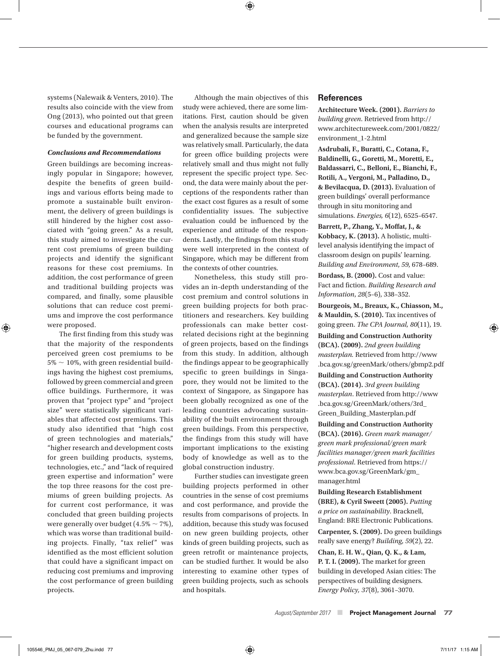systems (Nalewaik & Venters, 2010). The results also coincide with the view from Ong (2013), who pointed out that green courses and educational programs can be funded by the government.

#### *Conclusions and Recommendations*

Green buildings are becoming increasingly popular in Singapore; however, despite the benefits of green buildings and various efforts being made to promote a sustainable built environment, the delivery of green buildings is still hindered by the higher cost associated with "going green." As a result, this study aimed to investigate the current cost premiums of green building projects and identify the significant reasons for these cost premiums. In addition, the cost performance of green and traditional building projects was compared, and finally, some plausible solutions that can reduce cost premiums and improve the cost performance were proposed.

The first finding from this study was that the majority of the respondents perceived green cost premiums to be  $5\% \sim 10\%$ , with green residential buildings having the highest cost premiums, followed by green commercial and green office buildings. Furthermore, it was proven that "project type" and "project size" were statistically significant variables that affected cost premiums. This study also identified that "high cost of green technologies and materials," "higher research and development costs for green building products, systems, technologies, etc.," and "lack of required green expertise and information" were the top three reasons for the cost premiums of green building projects. As for current cost performance, it was concluded that green building projects were generally over budget  $(4.5\% \sim 7\%)$ , which was worse than traditional building projects. Finally, "tax relief" was identified as the most efficient solution that could have a significant impact on reducing cost premiums and improving the cost performance of green building projects.

Although the main objectives of this study were achieved, there are some limitations. First, caution should be given when the analysis results are interpreted and generalized because the sample size was relatively small. Particularly, the data for green office building projects were relatively small and thus might not fully represent the specific project type. Second, the data were mainly about the perceptions of the respondents rather than the exact cost figures as a result of some confidentiality issues. The subjective evaluation could be influenced by the experience and attitude of the respondents. Lastly, the findings from this study were well interpreted in the context of Singapore, which may be different from the contexts of other countries.

Nonetheless, this study still provides an in-depth understanding of the cost premium and control solutions in green building projects for both practitioners and researchers. Key building professionals can make better costrelated decisions right at the beginning of green projects, based on the findings from this study. In addition, although the findings appear to be geographically specific to green buildings in Singapore, they would not be limited to the context of Singapore, as Singapore has been globally recognized as one of the leading countries advocating sustainability of the built environment through green buildings. From this perspective, the findings from this study will have important implications to the existing body of knowledge as well as to the global construction industry.

Further studies can investigate green building projects performed in other countries in the sense of cost premiums and cost performance, and provide the results from comparisons of projects. In addition, because this study was focused on new green building projects, other kinds of green building projects, such as green retrofit or maintenance projects, can be studied further. It would be also interesting to examine other types of green building projects, such as schools and hospitals.

#### **References**

**Architecture Week. (2001).** *Barriers to building green*. Retrieved from http:// www.architectureweek.com/2001/0822/ environment\_1-2.html

**Asdrubali, F., Buratti, C., Cotana, F., Baldinelli, G., Goretti, M., Moretti, E., Baldassarri, C., Belloni, E., Bianchi, F., Rotili, A., Vergoni, M., Palladino, D., & Bevilacqua, D. (2013).** Evaluation of green buildings' overall performance through in situ monitoring and simulations. *Energies, 6*(12), 6525–6547.

**Barrett, P., Zhang, Y., Moffat, J., & Kobbacy, K. (2013).** A holistic, multilevel analysis identifying the impact of classroom design on pupils' learning. *Building and Environment*, *59*, 678–689.

**Bordass, B. (2000).** Cost and value: Fact and fiction. *Building Research and Information*, *28*(5–6), 338–352.

**Bourgeois, M., Breaux, K., Chiasson, M., & Mauldin, S. (2010).** Tax incentives of going green. *The CPA Journal, 80*(11), 19.

**Building and Construction Authority (BCA). (2009).** *2nd green building masterplan.* Retrieved from http://www .bca.gov.sg/greenMark/others/gbmp2.pdf

**Building and Construction Authority (BCA). (2014).** *3rd green building masterplan*. Retrieved from http://www .bca.gov.sg/GreenMark/others/3rd\_ Green\_Building\_Masterplan.pdf

**Building and Construction Authority (BCA). (2016).** *Green mark manager/ green mark professional/green mark facilities manager/green mark facilities professional*. Retrieved from https:// www.bca.gov.sg/GreenMark/gm\_ manager.html

**Building Research Establishment (BRE), & Cyril Sweett (2005).** *Putting a price on sustainability*. Bracknell, England: BRE Electronic Publications.

**Carpenter, S. (2009).** Do green buildings really save energy? *Building*, *59*(2), 22.

**Chan, E. H. W., Qian, Q. K., & Lam, P. T. I. (2009).** The market for green building in developed Asian cities: The perspectives of building designers. *Energy Policy, 37*(8), 3061–3070.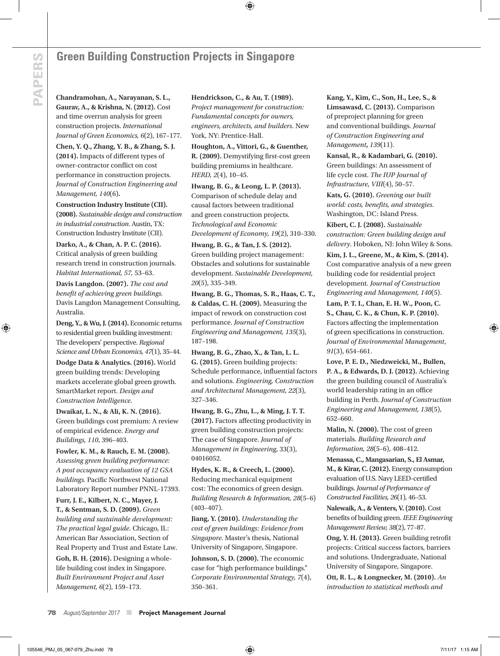## **Green Building Construction Projects in Singapore**

**Chandramohan, A., Narayanan, S. L., Gaurav, A., & Krishna, N. (2012).** Cost and time overrun analysis for green construction projects. *International Journal of Green Economics, 6*(2), 167–177.

**Chen, Y. Q., Zhang, Y. B., & Zhang, S. J. (2014).** Impacts of different types of owner-contractor conflict on cost performance in construction projects. *Journal of Construction Engineering and Management, 140*(6)**.**

**Construction Industry Institute (CII). (2008).** *Sustainable design and construction in industrial construction*. Austin, TX: Construction Industry Institute (CII).

**Darko, A., & Chan, A. P. C. (2016).** Critical analysis of green building research trend in construction journals. *Habitat International, 57,* 53–63.

**Davis Langdon. (2007).** *The cost and benefit of achieving green buildings.* Davis Langdon Management Consulting, Australia.

**Deng, Y., & Wu, J. (2014).** Economic returns to residential green building investment: The developers' perspective. *Regional Science and Urban Economics, 47*(1), 35–44.

**Dodge Data & Analytics. (2016).** World green building trends: Developing markets accelerate global green growth. SmartMarket report. *Design and Construction Intelligence*.

**Dwaikat, L. N., & Ali, K. N. (2016).** Green buildings cost premium: A review of empirical evidence. *Energy and Buildings, 110*, 396–403.

**Fowler, K. M., & Rauch, E. M. (2008).** *Assessing green building performance: A post occupancy evaluation of 12 GSA buildings.* Pacific Northwest National Laboratory Report number PNNL-17393.

**Furr, J. E., Kilbert, N. C., Mayer, J. T., & Sentman, S. D. (2009).** *Green building and sustainable development: The practical legal guide*. Chicago, IL: American Bar Association, Section of Real Property and Trust and Estate Law. **Goh, B. H. (2016).** Designing a wholelife building cost index in Singapore. *Built Environment Project and Asset Management, 6*(2), 159–173.

**Hendrickson, C., & Au, T. (1989).** *Project management for construction: Fundamental concepts for owners, engineers, architects, and builders*. New York, NY: Prentice-Hall.

**Houghton, A., Vittori, G., & Guenther, R. (2009).** Demystifying first-cost green building premiums in healthcare. *HERD, 2*(4), 10–45.

**Hwang, B. G., & Leong, L. P. (2013).** Comparison of schedule delay and causal factors between traditional and green construction projects. *Technological and Economic Development of Economy, 19*(2), 310–330.

**Hwang, B. G., & Tan, J. S. (2012).** Green building project management: Obstacles and solutions for sustainable development. *Sustainable Development, 20*(5), 335–349.

**Hwang, B. G., Thomas, S. R., Haas, C. T., & Caldas, C. H. (2009).** Measuring the impact of rework on construction cost performance. *Journal of Construction Engineering and Management, 135*(3), 187–198.

**Hwang, B. G., Zhao, X., & Tan, L. L. G. (2015).** Green building projects: Schedule performance, influential factors and solutions. *Engineering, Construction and Architectural Management, 22*(3), 327–346.

**Hwang, B. G., Zhu, L., & Ming, J. T. T. (2017).** Factors affecting productivity in green building construction projects: The case of Singapore. *Journal of Management in Engineering*, 33(3), 04016052.

**Hydes, K. R., & Creech, L. (2000).**  Reducing mechanical equipment cost: The economics of green design. *Building Research & Information, 28*(5–6) (403–407).

**Jiang, Y. (2010).** *Understanding the cost of green buildings: Evidence from Singapore.* Master's thesis, National University of Singapore, Singapore.

**Johnson, S. D. (2000).** The economic case for "high performance buildings." *Corporate Environmental Strategy, 7*(4), 350–361.

**Kang, Y., Kim, C., Son, H., Lee, S., & Limsawasd, C. (2013).** Comparison of preproject planning for green and conventional buildings. *Journal of Construction Engineering and Management***,** *139*(11).

**Kansal, R., & Kadambari, G. (2010).** Green buildings: An assessment of life cycle cost. *The IUP Journal of Infrastructure*, *VIII*(4), 50–57.

**Kats, G. (2010).** *Greening our built world: costs, benefits, and strategies*. Washington, DC: Island Press.

**Kibert, C. J. (2008).** *Sustainable construction: Green building design and delivery*. Hoboken, NJ: John Wiley & Sons.

**Kim, J. L., Greene, M., & Kim, S. (2014).**  Cost comparative analysis of a new green building code for residential project development. *Journal of Construction Engineering and Management, 140*(5).

**Lam, P. T. I., Chan, E. H. W., Poon, C. S., Chau, C. K., & Chun, K. P. (2010).** Factors affecting the implementation of green specifications in construction. *Journal of Environmental Management*, *91*(3), 654–661.

**Love, P. E. D., Niedzweicki, M., Bullen, P. A., & Edwards, D. J. (2012).** Achieving the green building council of Australia's world leadership rating in an office building in Perth. *Journal of Construction Engineering and Management, 138*(5), 652–660.

**Malin, N. (2000).** The cost of green materials. *Building Research and Information, 28*(5–6), 408–412.

**Menassa, C., Mangasarian, S., El Asmar, M., & Kirar, C. (2012).** Energy consumption evaluation of U.S. Navy LEED-certified buildings. *Journal of Performance of Constructed Facilities, 26*(1), 46–53.

**Nalewaik, A., & Venters, V. (2010).** Cost benefits of building green. *IEEE Engineering Management Review, 38*(2), 77–87.

**Ong, Y. H. (2013).** Green building retrofit projects: Critical success factors, barriers and solutions. Undergraduate, National University of Singapore, Singapore.

**Ott, R. L., & Longnecker, M. (2010).** *An introduction to statistical methods and*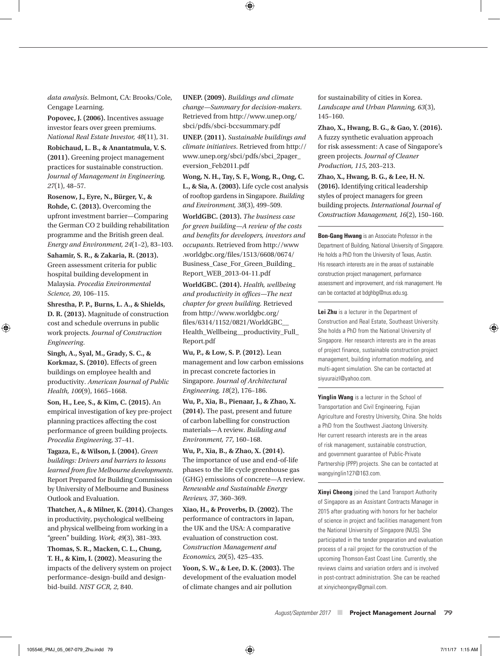*data analysis*. Belmont, CA: Brooks/Cole, Cengage Learning.

**Popovec, J. (2006).** Incentives assuage investor fears over green premiums. *National Real Estate Investor, 48*(11), 31.

**Robichaud, L. B., & Anantatmula, V. S. (2011).** Greening project management practices for sustainable construction. *Journal of Management in Engineering, 27*(1), 48–57.

**Rosenow, J., Eyre, N., Bürger, V., & Rohde, C. (2013).** Overcoming the upfront investment barrier—Comparing the German CO 2 building rehabilitation programme and the British green deal. *Energy and Environment, 24*(1–2), 83–103.

**Sahamir, S. R., & Zakaria, R. (2013).** Green assessment criteria for public hospital building development in Malaysia. *Procedia Environmental Science, 20*, 106–115.

**Shrestha, P. P., Burns, L. A., & Shields, D. R. (2013).** Magnitude of construction cost and schedule overruns in public work projects. *Journal of Construction Engineering*.

**Singh, A., Syal, M., Grady, S. C., & Korkmaz, S. (2010).** Effects of green buildings on employee health and productivity. *American Journal of Public Health, 100*(9), 1665–1668.

**Son, H., Lee, S., & Kim, C. (2015).** An empirical investigation of key pre-project planning practices affecting the cost performance of green building projects. *Procedia Engineering*, 37–41.

**Tagaza, E., & Wilson, J. (2004).** *Green buildings: Drivers and barriers to lessons learned from five Melbourne developments*. Report Prepared for Building Commission by University of Melbourne and Business Outlook and Evaluation.

**Thatcher, A., & Milner, K. (2014).** Changes in productivity, psychological wellbeing and physical wellbeing from working in a "green" building. *Work, 49*(3), 381–393.

**Thomas, S. R., Macken, C. L., Chung, T. H., & Kim, I. (2002).** Measuring the impacts of the delivery system on project performance–design-build and designbid-build. *NIST GCR, 2*, 840.

**UNEP. (2009).** *Buildings and climate change—Summary for decision-makers*. Retrieved from http://www.unep.org/ sbci/pdfs/sbci-bccsummary.pdf

**UNEP. (2011).** *Sustainable buildings and climate initiatives*. Retrieved from http:// www.unep.org/sbci/pdfs/sbci\_2pager\_ eversion\_Feb2011.pdf

**Wong, N. H., Tay, S. F., Wong, R., Ong, C. L., & Sia, A. (2003).** Life cycle cost analysis of rooftop gardens in Singapore. *Building and Environment, 38*(3), 499–509.

**WorldGBC. (2013).** *The business case for green building—A review of the costs and benefits for developers, investors and occupants*. Retrieved from http://www .worldgbc.org/files/1513/6608/0674/ Business\_Case\_For\_Green\_Building\_ Report\_WEB\_2013-04-11.pdf

**WorldGBC. (2014).** *Health, wellbeing and productivity in offices—The next chapter for green building.* Retrieved from http://www.worldgbc.org/ files/6314/1152/0821/WorldGBC\_\_ Health\_Wellbeing\_\_productivity\_Full\_ Report.pdf

**Wu, P., & Low, S. P. (2012).** Lean management and low carbon emissions in precast concrete factories in Singapore. *Journal of Architectural Engineering, 18*(2), 176–186.

**Wu, P., Xia, B., Pienaar, J., & Zhao, X. (2014).** The past, present and future of carbon labelling for construction materials—A review. *Building and Environment, 77*, 160–168.

**Wu, P., Xia, B., & Zhao, X. (2014).** The importance of use and end-of-life phases to the life cycle greenhouse gas (GHG) emissions of concrete—A review. *Renewable and Sustainable Energy Reviews, 37*, 360–369.

**Xiao, H., & Proverbs, D. (2002).** The performance of contractors in Japan, the UK and the USA: A comparative evaluation of construction cost. *Construction Management and Economics, 20*(5), 425–435.

**Yoon, S. W., & Lee, D. K. (2003).** The development of the evaluation model of climate changes and air pollution

for sustainability of cities in Korea. *Landscape and Urban Planning, 63*(3), 145–160.

**Zhao, X., Hwang, B. G., & Gao, Y. (2016).** A fuzzy synthetic evaluation approach for risk assessment: A case of Singapore's green projects. *Journal of Cleaner Production, 115*, 203–213.

**Zhao, X., Hwang, B. G., & Lee, H. N. (2016).** Identifying critical leadership styles of project managers for green building projects. *International Journal of Construction Management, 16*(2), 150–160.

**Bon-Gang Hwang** is an Associate Professor in the Department of Building, National University of Singapore. He holds a PhD from the University of Texas, Austin. His research interests are in the areas of sustainable construction project management, performance assessment and improvement, and risk management. He can be contacted at bdghbg@nus.edu.sg.

**Lei Zhu** is a lecturer in the Department of Construction and Real Estate, Southeast University. She holds a PhD from the National University of Singapore. Her research interests are in the areas of project finance, sustainable construction project management, building information modeling, and multi-agent simulation. She can be contacted at siyuuraizl@yahoo.com.

**Yinglin Wang** is a lecturer in the School of Transportation and Civil Engineering, Fujian Agriculture and Forestry University, China. She holds a PhD from the Southwest Jiaotong University. Her current research interests are in the areas of risk management, sustainable construction, and government guarantee of Public-Private Partnership (PPP) projects. She can be contacted at wangyinglin127@163.com.

**Xinyi Cheong** joined the Land Transport Authority of Singapore as an Assistant Contracts Manager in 2015 after graduating with honors for her bachelor of science in project and facilities management from the National University of Singapore (NUS). She participated in the tender preparation and evaluation process of a rail project for the construction of the upcoming Thomson-East Coast Line. Currently, she reviews claims and variation orders and is involved in post-contract administration. She can be reached at xinyicheongxy@gmail.com.